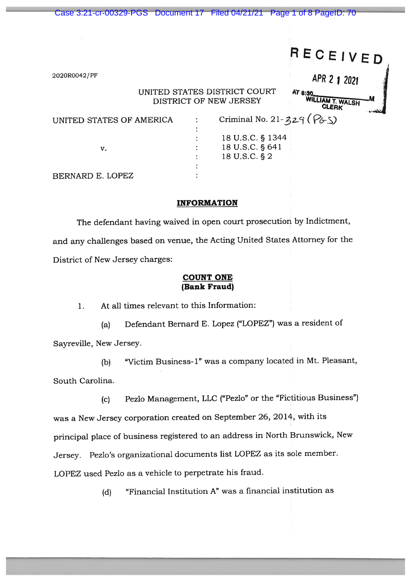|                                                                   | Case 3:21-cr-00329-PGS Document 17  Filed 04/21/21  Page 1 of 8  PageID: 70 |  |                                                      |                               |
|-------------------------------------------------------------------|-----------------------------------------------------------------------------|--|------------------------------------------------------|-------------------------------|
|                                                                   |                                                                             |  |                                                      | RECEIVED                      |
|                                                                   | 2020R0042/PF                                                                |  |                                                      | APR 2 1 2021                  |
| UNITED STATES DISTRICT COURT<br>AT 8:30<br>DISTRICT OF NEW JERSEY |                                                                             |  |                                                      | WILLIAM T. WALSH<br>CLERK     |
|                                                                   | UNITED STATES OF AMERICA                                                    |  |                                                      | Criminal No. 21-329 ( $P6S$ ) |
|                                                                   | v.                                                                          |  | 18 U.S.C. § 1344<br>18 U.S.C. § 641<br>18 U.S.C. § 2 |                               |
|                                                                   | BERNARD E. LOPEZ                                                            |  |                                                      |                               |

# INFORMATION

The defendant having waived in open court prosecution by Indictment, and any challenges based on venue, the Acting United States Attorney for the District of New Jersey charges:

## COUNT ONE (Bank Fraud)

1. At all times relevant to this Information:

(a) Defendant Bernard E. Lopez ("LOPEZ") was <sup>a</sup> resident of

Sayreville, New Jersey.

(b) "Victim Business-i" was <sup>a</sup> company located in Mt. Pleasant, South Carolina.

(c) Pezlo Management, LLC ("Pezlo" or the "Fictitious Business") was <sup>a</sup> New Jersey corporation created on September 26, 2014, with its principal <sup>p</sup>lace of business registered to an address in North Brunswick, New Jersey. Pezlo's organizational documents list LOPEZ as its sole member. LOPEZ used Pezlo as <sup>a</sup> vehicle to perpetrate his fraud.

(d) "Financial Institution A" was <sup>a</sup> financial institution as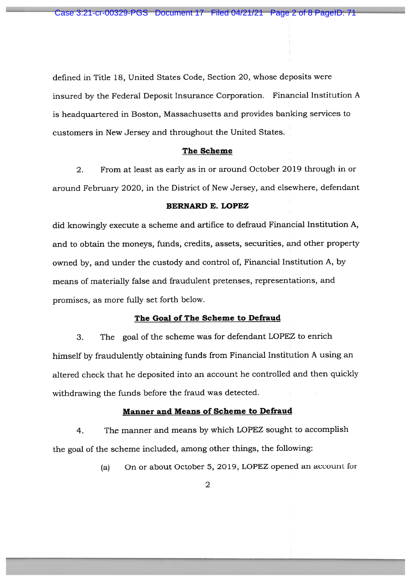defined in Title 18, United States Code, Section 20, whose deposits were insured by the Federal Deposit Insurance Corporation. Financial Institution <sup>A</sup> is headquartered in Boston, Massachusetts and provides banking services to customers in New Jersey and throughout the United States.

#### The Scheme

2. From at least as early as in or around October 2019 through in or around February 2020, in the District of New Jersey, and elsewhere, defendant

### BERNARD E. LOPEZ

did knowingly execute <sup>a</sup> scheme and artifice to defraud Financial Institution A, and to obtain the moneys, funds, credits, assets, securities, and other property owned by, and under the custody and control of, Financial Institution A, by means of materially false and fraudulent pretenses, representations, and promises, as more fully set forth below.

## The Goal of The Scheme to Defraud

3. The goa<sup>l</sup> of the scheme was for defendant LOPEZ to enrich himself by fraudulently obtaining funds from Financial Institution <sup>A</sup> using an altered check that he deposited into an account he controlled and then quickly withdrawing the funds before the fraud was detected.

### Manner and Means of Scheme to Defraud

4. The manner and means by which LOPEZ sought to accomplish the goa<sup>l</sup> of the scheme included, among other things, the following:

(a) On or about October 5, 2019, LOPEZ opene<sup>d</sup> an account for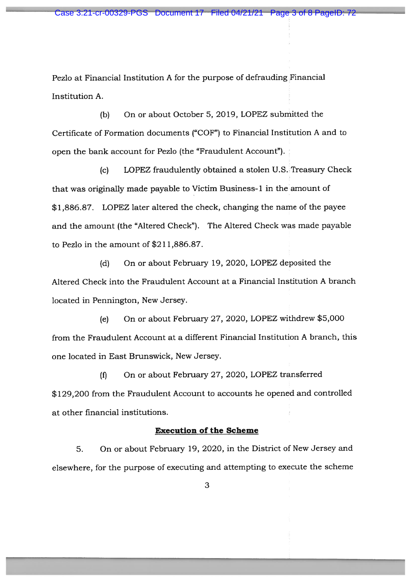Pezlo at Financial Institution <sup>A</sup> for the purpose of defrauding Financial Institution A.

(b) On or about October 5, 2019, LOPEZ submitted the Certificate of Formation documents ("COF") to Financial Institution A and to open the bank account for Pezlo (the "Fraudulent Account").

(c) LOPEZ fraudulently obtained <sup>a</sup> stolen U.S. Treasury Check that was originally made payable to Victim Business-1 in the amount of \$1,886.87. LOPEZ later altered the check, changing the name of the payee and the amount (the "Altered Check"). The Altered Check was made payable to Pezlo in the amount of \$211,886.87.

(d) On or about February 19, 2020, LOPEZ deposited the Altered Check into the Fraudulent Account at <sup>a</sup> Financial Institution A branch located in Pennington, New Jersey.

(e) On or about February 27, 2020, LOPEZ withdrew \$5,000 from the Fraudulent Account at <sup>a</sup> different Financial Institution A branch, this one located in East Brunswick, New Jersey.

(f) On or about February 27, 2020, LOPEZ transferred \$129,200 from the Fraudulent Account to accounts he opened and controlled at other financial institutions.

## Execution of the Scheme

5. On or about February 19, 2020, in the District of New Jersey and elsewhere, for the purpose of executing and attempting to execute the scheme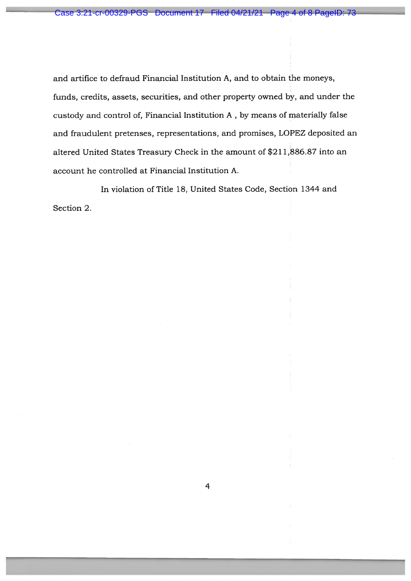and artifice to defraud Financial Institution A, and to obtain the moneys, funds, credits, assets, securities, and other property owned by, and under the custody and control of, Financial Institution A , by means of materially false and fraudulent pretenses, representations, and promises, LOPEZ deposited an altered United States Treasury Check in the amount of \$211,886.87 into an account he controlled at Financial Institution A. Case 3:21-cr-00329-PGS Document 27 Filed 04/21/21 Page 4 of 8 PageID: 73<br>
and artifice to defraud Financial Institution A, and to obtain the moneys,<br>
funds, credits, assets, securities, and other property cound by, and und

In violation of Title 18, United States Code, Section 1344 and Section 2.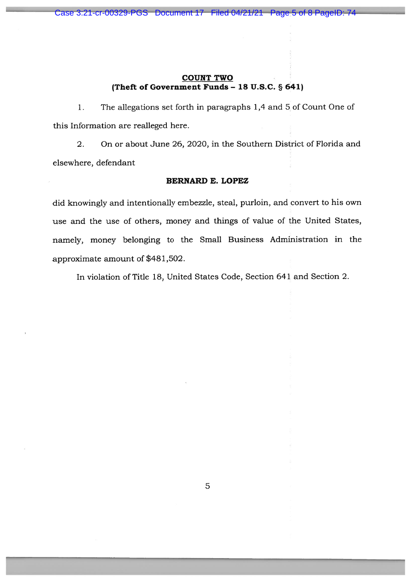## COUNT TWO (Theft of Government Funds - 18 U.S.C. § 641)

1. The allegations set forth in paragraphs 1,4 and 5 of Count One of this Information are realleged here.

2. On or about June 26, 2020, in the Southern District of Florida and elsewhere, defendant

## BERNARD E. LOPEZ

did knowingly and intentionally embezzle, steal, purloin, and convert to his own use and the use of others, money and things of value of the United States, namely, money belonging to the Small Business Administration in the approximate amount of \$481,502.

In violation of Title 18, United States Code, Section 641 and Section 2.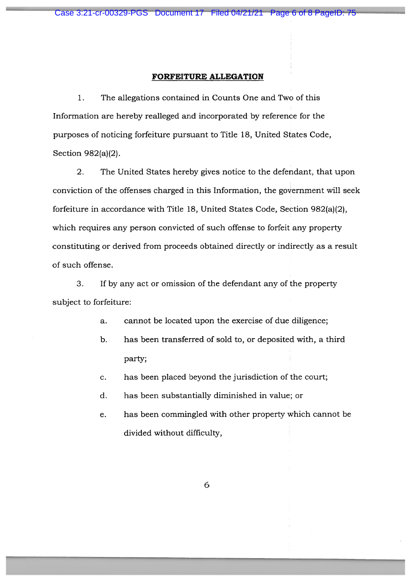#### FORFEITURE ALLEGATION

1. The allegations contained in Counts One and Two of this Information are hereby realleged and incorporated by reference for the purposes of noticing forfeiture pursuan<sup>t</sup> to Title 18, United States Code, Section 982(a)(2).

2. The United States hereby gives notice to the defendant, that upon conviction of the offenses charged in this Information, the governmen<sup>t</sup> will seek forfeiture in accordance with Title 18, United States Code, Section 982(a)(2), which requires any person convicted of such offense to forfeit any property constituting or derived from proceeds obtained directly or indirectly as <sup>a</sup> result of such offense.

3. If by any act or omission of the defendant any of the property subject to forfeiture:

- a. cannot be located upon the exercise of due diligence;
- b. has been transferred of sold to, or deposited with, <sup>a</sup> third party;
- c. has been placed beyond the jurisdiction of the court;
- d. has been substantially diminished in value; or
- e. has been commingled with other property which cannot be divided without difficulty,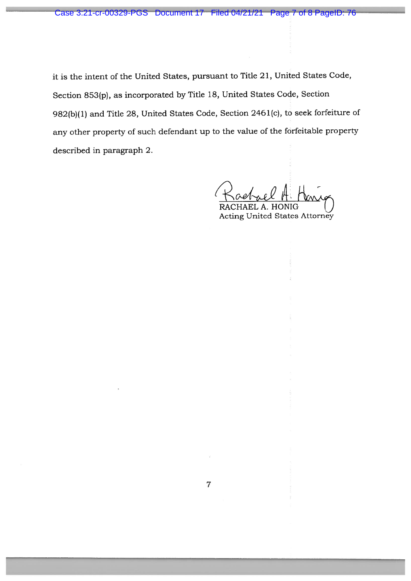it is the intent of the United States, pursuan<sup>t</sup> to Title 21, United States Code, Section 853(p), as incorporated by Title 18, United States Code, Section 982(b)(1) and Title 28, United States Code, Section <sup>246</sup> 1(c), to seek forfeiture of any other property of such defendant up to the value of the forfeitable property described in paragraph 2.

HAEL A. HONIG Acting United States Attorney